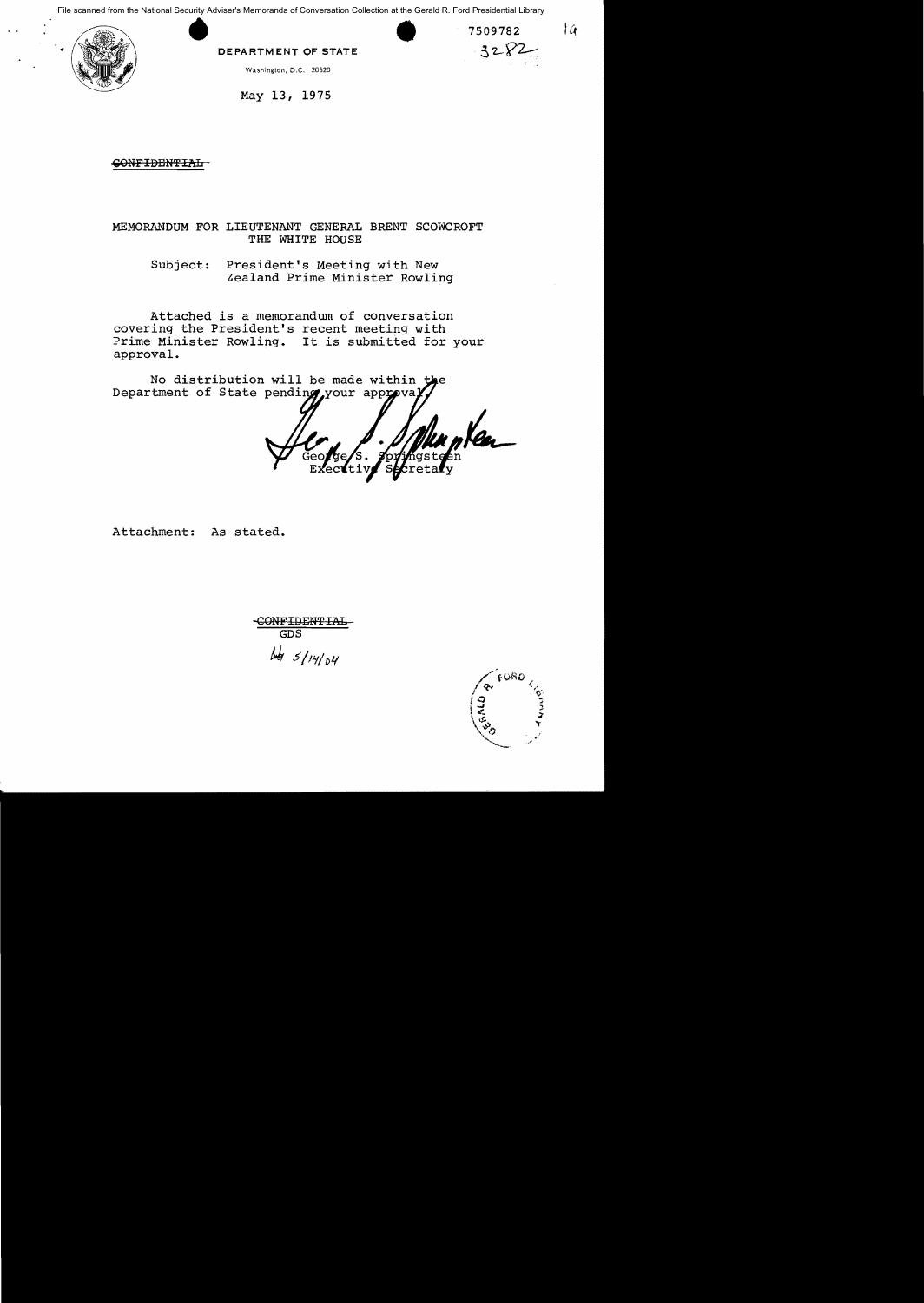Example 1 at the Gerald R. Ford Presidential Library<br>
2 509782<br>
DEPARTMENT OF STATE<br>
Washington, D.C. 20520 File scanned from the National Security Adviser's Memoranda of Conversation Collection at the Gerald R. Ford Presidential Library



Washington, D.C. 20520

May 13, 1975

-CONFIDENTIAL

# MEMORANDUM FOR LIEUTENANT GENERAL BRENT SCOWCROFT THE WHITE HOUSE

Subject: President's Meeting with New Zealand Prime Minister Rowling

Attached is a memorandum of conversation covering the President's recent meeting with Prime Minister Rowling. It is submitted for your approval.

No distribution will be made within the Department of State pending your approval

 $f$ tiv Sret

Attachment: As stated.

-GONFID-ENTIAI. GDS  $\frac{1}{4}$  5/14/04



 $\overline{a}$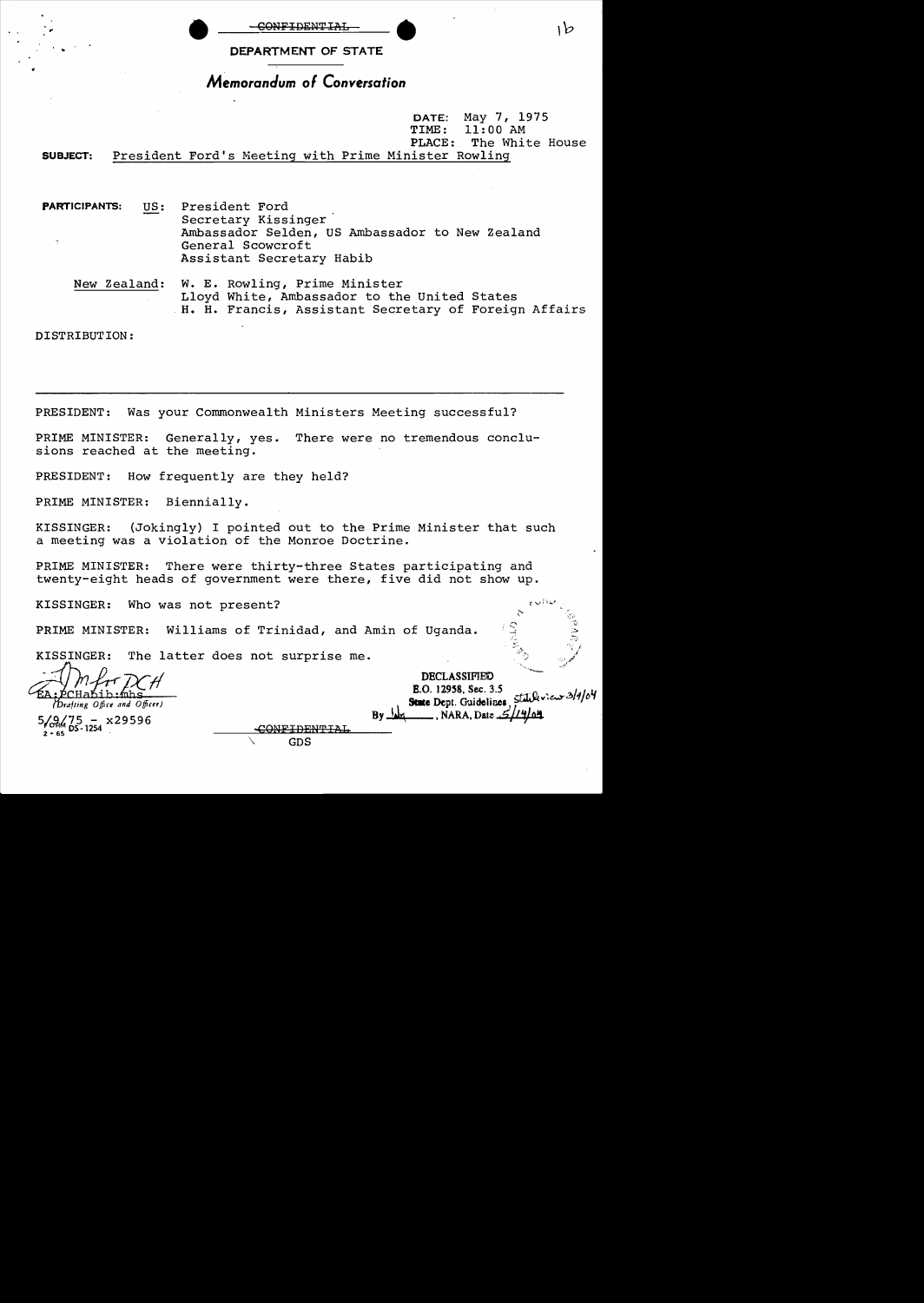

CONFIDENTIAL DEPARTMENT OF STATE

# *Memorandum* of *Conversation*

DATE: May 7, 1975<br>TIME: 11:00 AM TIME: 11:00 AM<br>PLACE: The Whi The White House SUBJECT: President Ford's Meeting with Prime Minister Rowling

PARTICIPANTS: US: President Ford Secretary Kissinger Ambassador Selden, US Ambassador to New Zealand General Scowcroft Assistant Secretary Habib

New Zealand: W. E. Rowling, Prime Minister Lloyd White, Ambassador to the United States . H. H. Francis, Assistant Secretary of Foreign Affairs

DISTRIBUTION:

PRESIDENT: Was your Commonwealth Ministers Meeting successful?

PRIME MINISTER: Generally, yes. There were no tremendous conclu-PRIME MINISTER: Generally, yes.<br>sions reached at the meeting.

PRESIDENT: How frequently are they held?

PRIME MINISTER: Biennially.

KISSINGER: (Jokingly) I pointed out to the Prime Minister that such a meeting was a violation of the Monroe Doctrine.

\. GDS

PRIME MINISTER: There were thirty-three States participating and twenty-eight heads of government were there, five did not show up.

KISSINGER: Who was not present?

PRIME MINISTER: Williams of Trinidad, and Amin of Uganda.

KISSINGER: The latter does not surprise me.

**DECLASSIFIED**<br>**E.O. 12958, Sec. 3.5 B.O. 12958, Sec. 3.5**<br>**State Dept. Guidelines**, *Statuk view 3/4/04*  $5/9/75 - x29596$  By  $\frac{1}{4}$ , NARA, Date  $\frac{2/14}{9}$ .

١b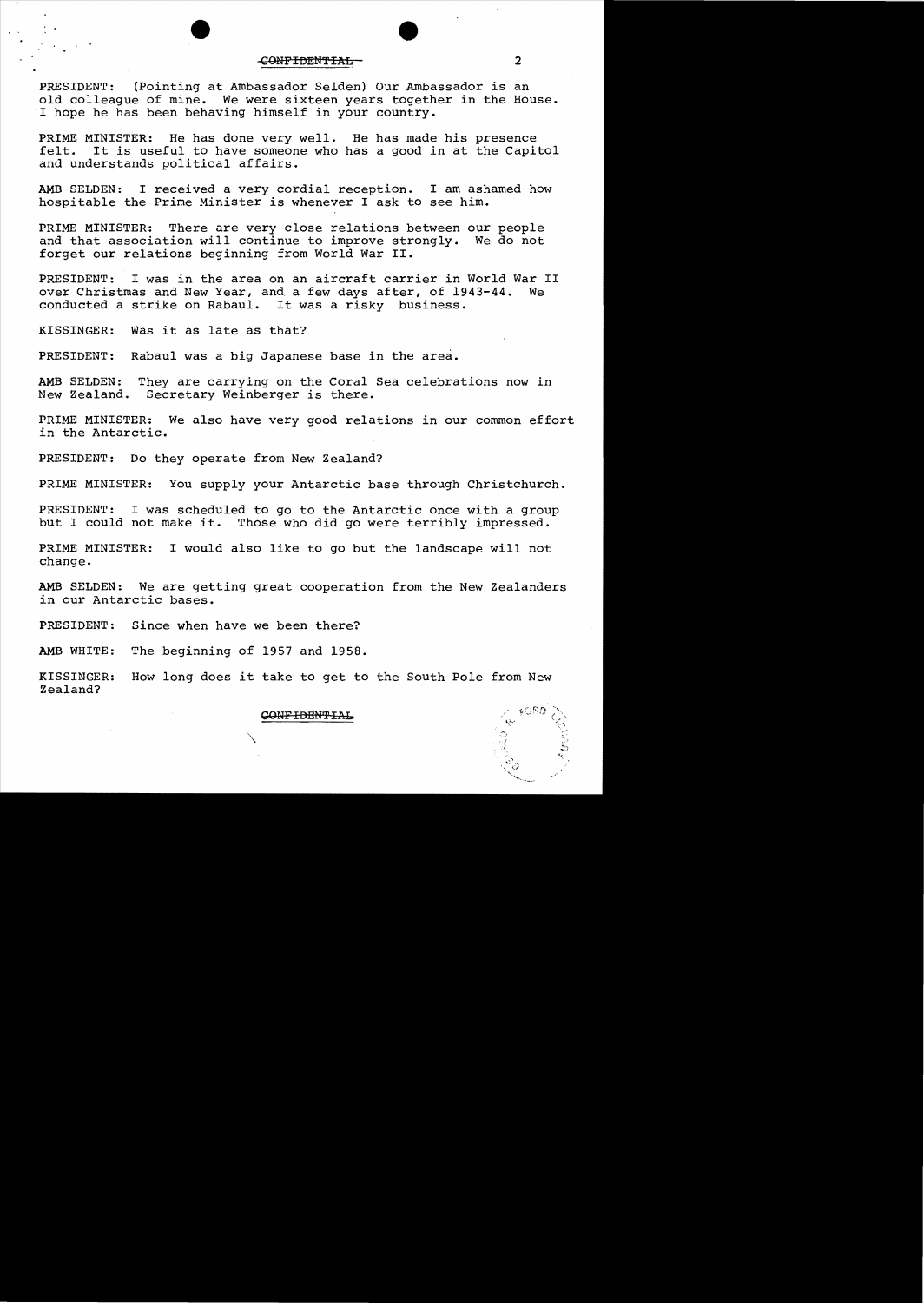## eONFIDEN'fIAL 2

PRESIDENT: (Pointing at Ambassador Selden) Our Ambassador is an old colleague of mine. We were sixteen years together in the House. I hope he has been behaving himself in your country.

PRIME MINISTER: He has done very well. He has made his presence<br>felt. It is useful to have someone who has a good in at the Capit It is useful to have someone who has a good in at the Capitol and understands political affairs.

AMB SELDEN: I received a very cordial reception. I am ashamed how hospitable the Prime Minister is whenever I ask to see him.

PRIME MINISTER: There are very close relations between our people and that association will continue to improve strongly. We do not forget our relations beginning from World War II.

PRESIDENT: I was in the area on an aircraft carrier in World War II<br>over Christmas and New Year, and a few days after, of 1943-44, We over Christmas and New Year, and a few days after, of 1943-44. conducted a strike on Rabau1. It was a risky business.

KISSINGER: Was it as late as that?

PRESIDENT: Rabaul was a big Japanese base in the area.

AMB SELDEN: They are carrying on the Coral Sea celebrations now in<br>New Zealand. Secretary Weinberger is there. Secretary Weinberger is there.

PRIME MINISTER: We also have very good relations in our common effort in the Antarctic.

PRESIDENT: Do they operate from New Zealand?

PRIME MINISTER: You supply your Antarctic base through Christchurch.

PRESIDENT: I was scheduled to go to the Antarctic once with a group<br>but I could not make it. Those who did go were terribly impressed. Those who did go were terribly impressed.

PRIME MINISTER: I would also like to go but the landscape will not change.

AMB SELDEN: We are getting great cooperation from the New Zealanders in our Antarctic bases.

PRESIDENT: Since when have we been there?

AMB WHITE: The beginning of 1957 and 1958.

KISSINGER: How long does it take to get to the South Pole from New Zealand?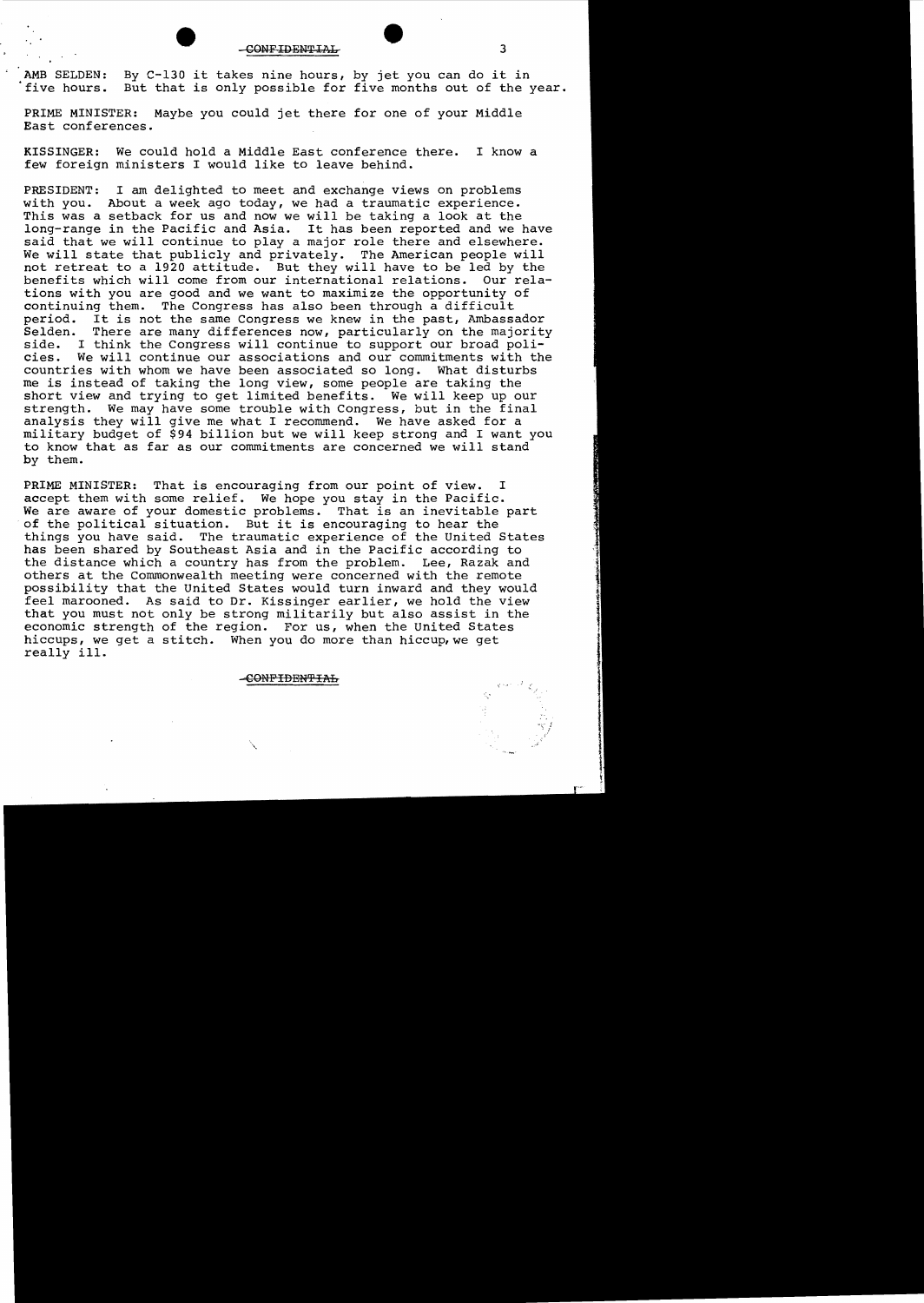CONFIDENTIAL 3

AMB SELDEN: By C-130 it takes nine hours, by jet you can do it in five hours. But that is only possible for five months out of the year.

PRIME MINISTER: Maybe you could jet there for one of your Middle East conferences.

KISSINGER: We could hold a Middle East conference there. I know a few foreign ministers I would like to leave behind.

PRESIDENT: I am delighted to meet and exchange views on problems with you. About a week ago today, we had a traumatic experience. This was a setback for us and now we will be taking a look at the long-range in the Pacific and Asia. It has been reported and we have said that we will continue to play a major role there and elsewhere. We will state that publicly and privately. The American people will not retreat to a 1920 attitude. But they will have to be led by the benefits which will come from our international relations. Our relations with you are good and we want to maximize the opportunity of continuing them. The Congress has also been through a difficult period. It is not the same Congress we knew in the past, Ambassador Selden. There are many differences now, particularly on the majority<br>side. I think the Congress will continue to support our broad poliside. I think the Congress will continue to support our broad poli-<br>cies. We will continue our associations and our commitments with th We will continue our associations and our commitments with the countries with whom we have been associated so long. What disturbs me is instead of taking the long view, some people are taking the short view and trying to get limited benefits. We will keep up our strength. We may have some trouble with Congress, but in the final analysis they will give me what I recommend. We have asked for a military budget of \$94 billion but we will keep strong and I want you to know that as far as our commitments are concerned we will stand by them.

PRIME MINISTER: That is encouraging from our point of view. I accept them with some relief. We hope you stay in the Pacific. We are aware of your domestic problems. That is an inevitable part of the political situation. But it is encouraging to hear the things you have said. The traumatic experience of the United States has been shared by Southeast Asia and in the Pacific according to the distance which a country has from the problem. Lee, Razak and others at the Commonwealth meeting were concerned with the remote possibility that the United States would turn inward and they would feel marooned. As said to Dr. Kissinger earlier, we hold the view that you must not only be strong militarily but also assist in the economic strength of the region. For us, when the United States hiccups, we get a stitch. When you do more than hiccup, we get really ill.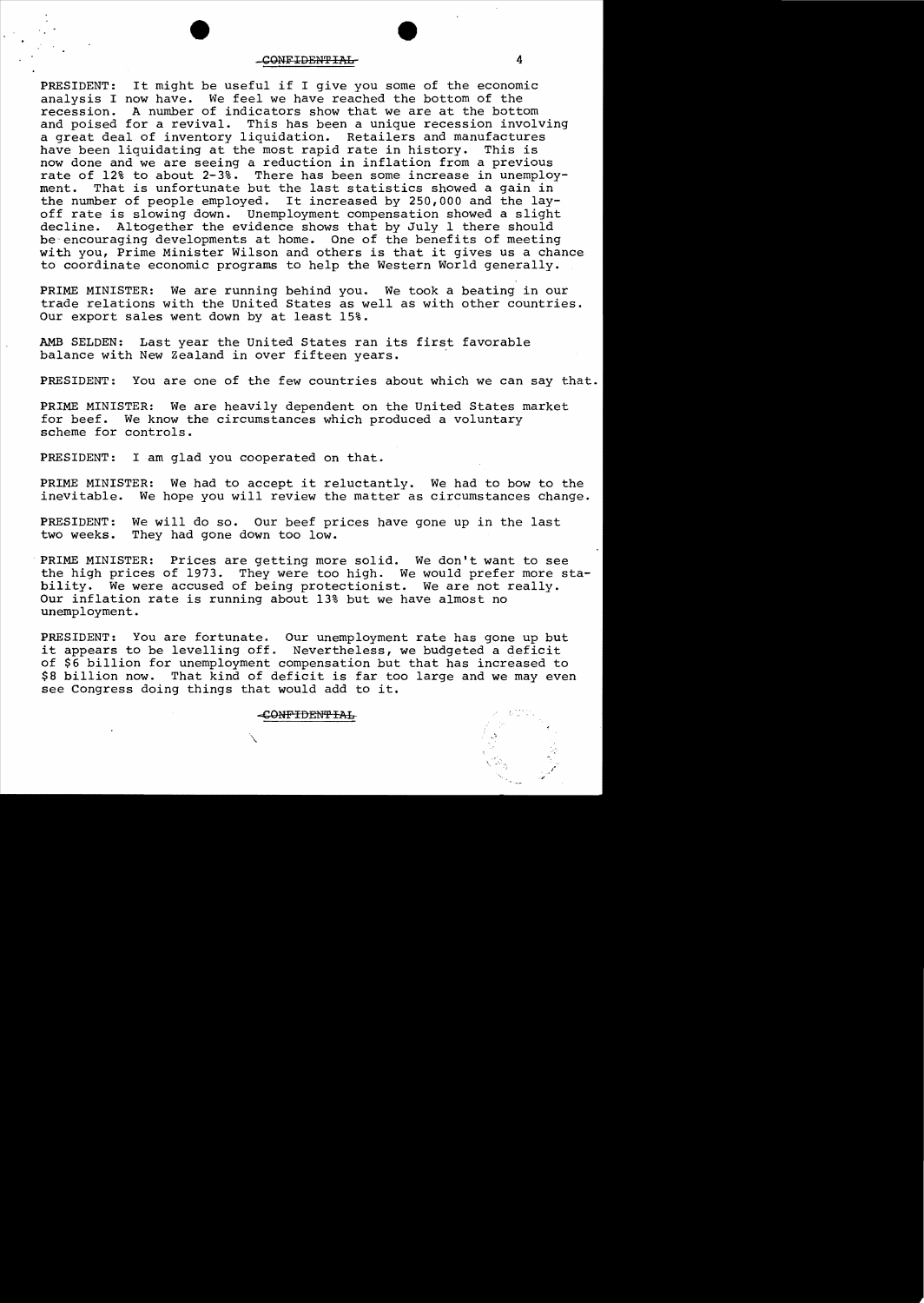#### -CONFIDENTIAL-4

PRESIDENT: It might be useful if I give you some of the economic analysis I now have. We feel we have reached the bottom of the recession. A number of indicators show that we are at the bottom and poised for a revival. This has been a unique recession involving a great deal of inventory liquidation. Retailers and manufactures<br>have been liquidating at the most rapid rate in history. This is have been liquidating at the most rapid rate in history. now done and we are seeing a reduction in inflation from a previous rate of 12% to about 2-3%. There has been some increase in unemploy-<br>ment. That is unfortunate but the last statistics showed a gain in That is unfortunate but the last statistics showed a gain in ment. That is unfortunate but the last statistics showed a gain in<br>the number of people employed. It increased by 250,000 and the layoff rate is slowing down. Unemployment compensation showed a slight<br>decline. Altogether the evidence shows that by July 1 there should Altogether the evidence shows that by July 1 there should be'encouraging developments at home. One of the benefits of meeting with you, Prime Minister Wilson and others is that it gives us a chance to coordinate economic programs to help the Western World generally.

PRIME MINISTER: We are running behind you. We took a beating in our trade relations with the United States as well as with other countries. Our export sales went down by at least 15%.

AMB SELDEN: Last year the United States ran its first favorable balance with New Zealand in over fifteen years.

PRESIDENT: You are one of the few countries about which we can say that.

PRIME MINISTER: We are heavily dependent on the United States market for beef. We know the circumstances which produced a voluntary scheme for controls.

PRESIDENT: I am glad you cooperated on that.

PRIME MINISTER: We had to accept it reluctantly. We had to bow to the inevitable. We hope you will review the matter as circumstances change.

PRESIDENT: We will do so. Our beef prices have gone up in the last two weeks. They had gone down too low. They had gone down too low.

PRIME MINISTER: Prices are getting more solid. We don't want to see the high prices of 1973. They were too high. We would prefer more stability. We were accused of being protectionist. We are not really. Our inflation rate is running about 13% but we have almost no unemployment.

PRESIDENT: You are fortunate. Our unemployment rate has gone up but it appears to be levelling off. Nevertheless, we budgeted a deficit of \$6 billion for unemployment compensation but that has increased to \$8 billion now. That kind of deficit is far too large and we may even see Congress doing things that would add to it.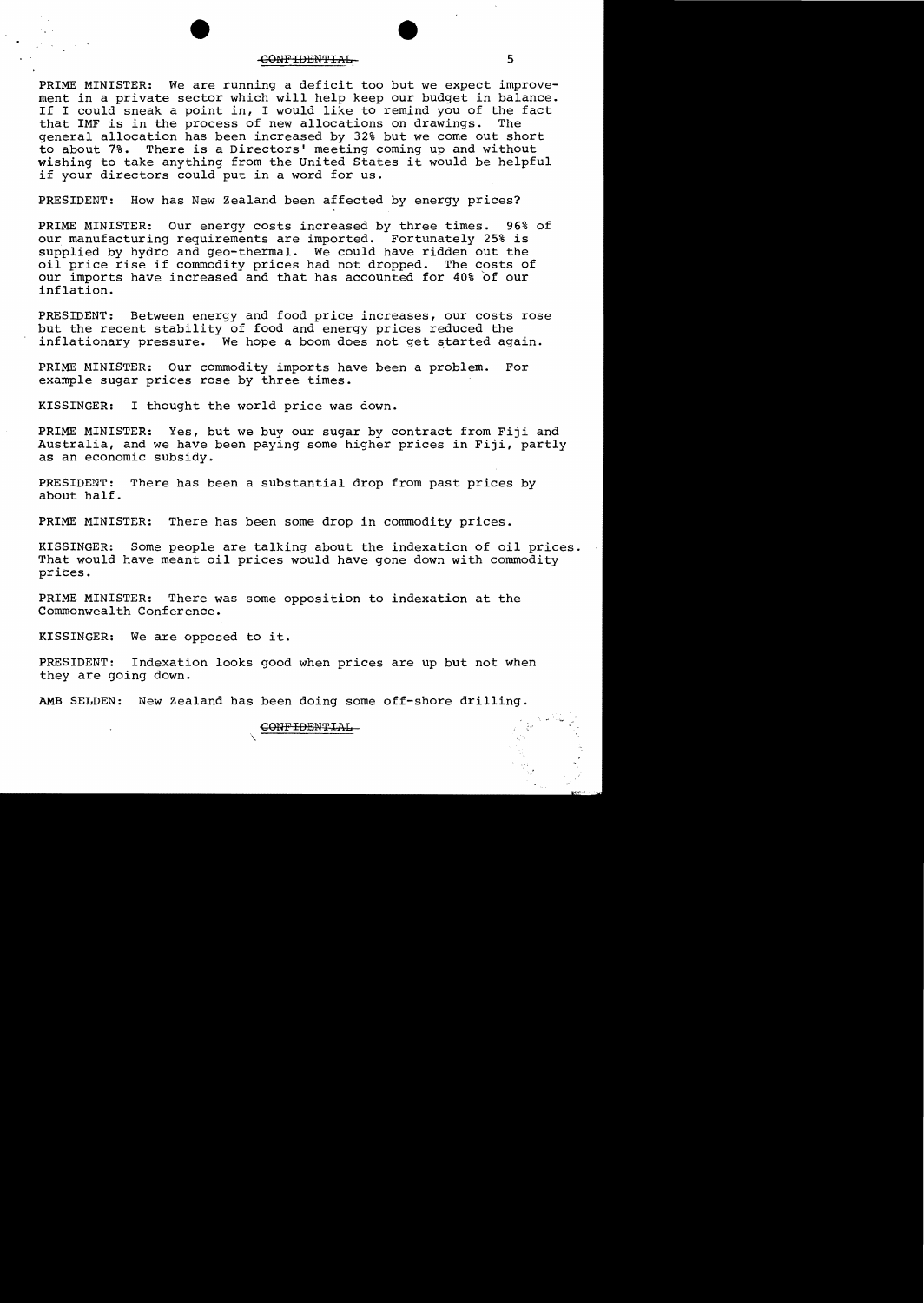#### CONFIDENTIAL 5

PRIME MINISTER: We are running a deficit too but we expect improvement in a private sector which will help keep our budget in balance. If I could sneak a point in, I would like to remind you of the fact<br>that IMF is in the process of new allocations on drawings. The that IMF is in the process of new allocations on drawings. general allocation has been increased by 32% but we come out short to about 7%. There is a Directors' meeting coming up and without wishing to take anything from the United States it would be helpful if your directors could put in a word for us.

PRESIDENT: How has New Zealand been affected by energy prices?

PRIME MINISTER: Our energy costs increased by three times. 96% of our manufacturing requirements are imported. Fortunately 25% is supplied by hydro and geo-thermal. We could have ridden out the oil price rise if commodity prices had not dropped. The costs of our imports have increased and that has accounted for 40% of our inflation.

PRESIDENT: Between energy and food price increases, our costs rose but the recent stability of food and energy prices reduced the inflationary pressure. We hope a boom does not get started again.

PRIME MINISTER: Our commodity imports have been a problem. For example sugar prices rose by three times.

KISSINGER: I thought the world price was down.

PRIME MINISTER: Yes, but we buy our sugar by contract from Fiji and Australia, and we have been paying some higher prices in Fiji, partly as an economic subsidy.

PRESIDENT: There has been a substantial drop from past prices by about half.

PRIME MINISTER: There has been some drop in commodity prices.

KISSINGER: Some people are talking about the indexation of oil prices. That would have meant oil prices would have gone down with commodity prices.

PRIME MINISTER: There was some opposition to indexation at the Commonwealth Conference.

KISSINGER: We are opposed to it.

PRESIDENT: Indexation looks good when prices are up but not when they are going down.

AMB SELDEN: New Zealand has been doing some off-shore drilling.

\.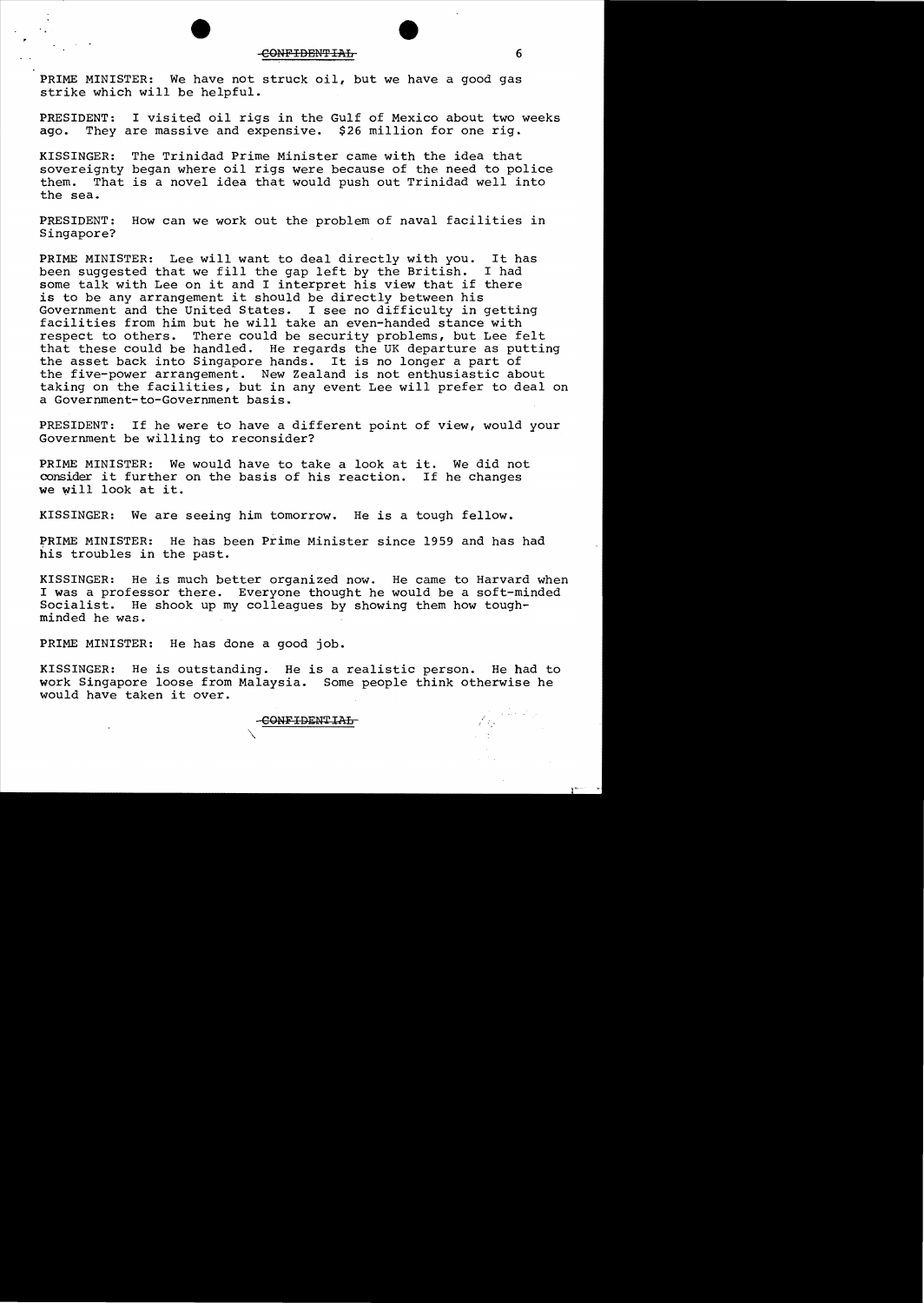PRIME MINISTER: We have not struck oil, but we have a good gas strike which will be helpful.

PRESIDENT: I visited oil rigs in the Gulf of Mexico about two weeks ago. They are massive and expensive. \$26 million for one rig. They are massive and expensive. \$26 million for one rig.

KISSINGER: The Trinidad Prime Minister came with the idea that sovereignty began where oil rigs were because of the need to police them. That is a novel idea that would push out Trinidad well into the sea.

PRESIDENT: How can we work out the problem of naval facilities in Singapore?

PRIME MINISTER: Lee will want to deal directly with you. It has<br>been suggested that we fill the gap left by the British. I had been suggested that we fill the gap left by the British. some talk with Lee on it and I interpret his view that if there is to be any arrangement it should be directly between his Government and the United States. I see no difficulty in I see no difficulty in getting facilities from him but he will take an even-handed stance with respect to others. There could be security problems, but Lee felt that these could be handled. He regards the UK departure as putting the asset back into Singapore hands. It is no longer a part of the five-power arrangement. New Zealand is not enthusiastic about taking on the facilities, but in any event Lee will prefer to deal on a Government-to-Government basis.

PRESIDENT: If he were to have a different point of view, would your Government be willing to reconsider?

PRIME MINISTER: We would have to take a look at it. We did not consider it further on the basis of his reaction. If he changes we Will look at it.

KISSINGER: We are seeing him tomorrow. He is a tough fellow.

PRIME MINISTER: He has been Prime Minister since 1959 and has had his troubles in the past.

KISSINGER: He is much better organized now. He came to Harvard when I was a professor there. Everyone thought he would be a soft-minded<br>Socialist. He shook up my colleagues by showing them how tough-He shook up my colleagues by showing them how toughminded he was.

PRIME MINISTER: He has done a good job.

KISSINGER: He is outstanding. He is a realistic person. He had to work Singapore loose from Malaysia. Some people think otherwise he would have taken it over.

CONFIDENTIAL

 $\mathcal{A}^{\mathcal{A}}$  , and  $\mathcal{A}^{\mathcal{A}}$  , and  $\mathcal{A}^{\mathcal{A}}$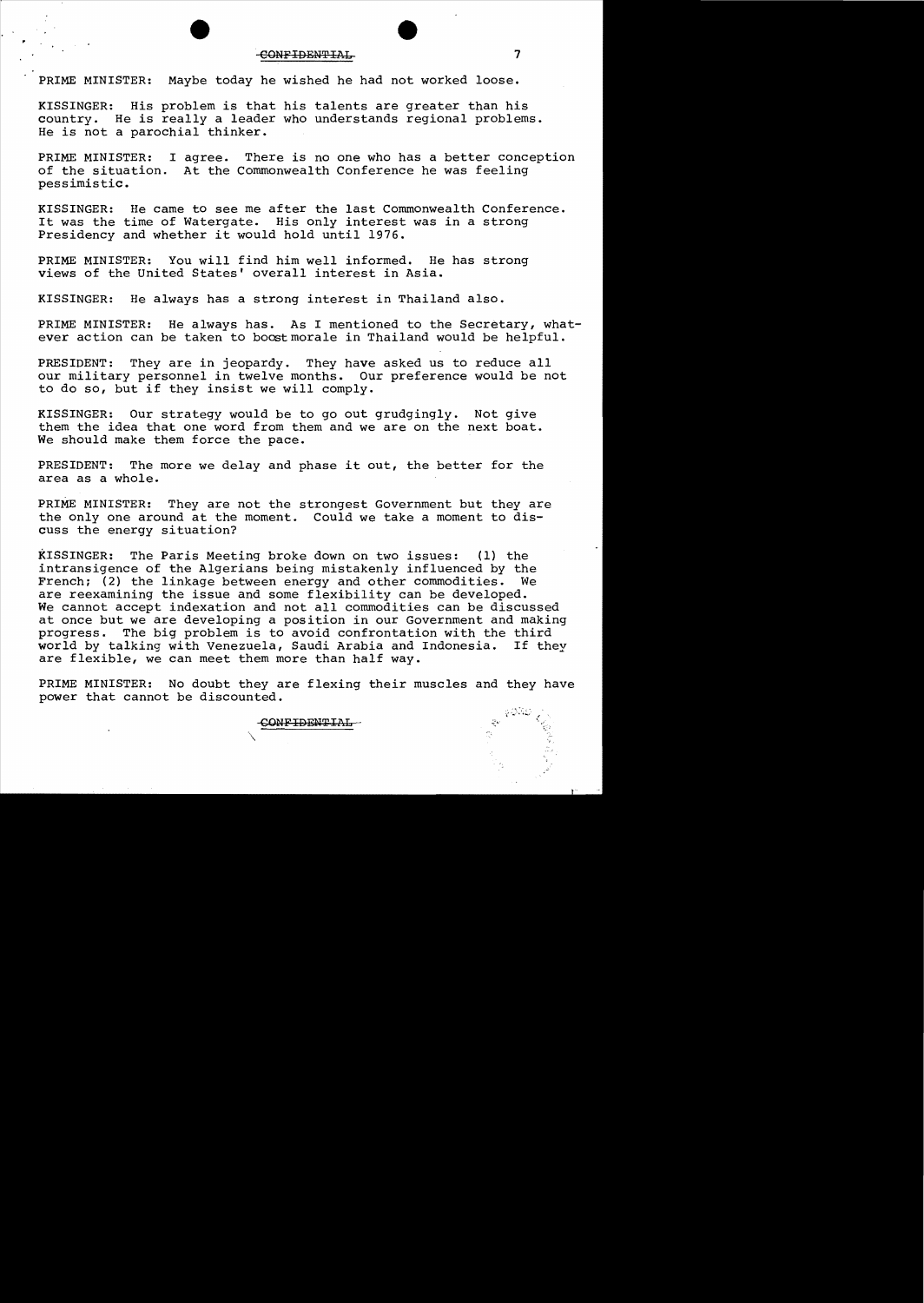### -CONFIDENTIAL 7

PRIME MINISTER: Maybe today he wished he had not worked loose.

KISSINGER: His problem is that his talents are greater than his country. He is really a leader who understands regional problems. He is not a parochial thinker.

PRIME MINISTER: I agree. There is no one who has a better conception<br>of the situation. At the Commonwealth Conference he was feeling At the Commonwealth Conference he was feeling pessimistic.

KISSINGER: He came to see me after the last Commonwealth Conference. It was the time of Watergate. His only interest was in a strong Presidency and whether it would hold until 1976.

PRIME MINISTER: You will find him well informed. He has strong views of the United States' overall interest in Asia.

KISSINGER: He always has a strong interest in Thailand also.

PRIME MINISTER: He always has. As I mentioned to the Secretary, whatever action can be taken to boost morale in Thailand would be helpful.

PRESIDENT: They are in jeopardy. They have asked us to reduce all our military personnel in twelve months. Our preference would be not to do so, but if they insist we will comply.

KISSINGER: Our strategy would be to go out grudgingly. Not give them the idea that one word from them and we are on the next boat. We should make them force the pace.

PRESIDENT: The more we delay and phase it out, the better for the area as a whole.

PRIME MINISTER: They are not the strongest Government but they are the only one around at the moment. Could we take a moment to discuss the energy situation?

KISSINGER: The Paris Meeting broke down on two issues: (1) the intransigence of the Algerians being mistakenly influenced by the French; (2) the linkage between energy and other commodities. We are reexamining the issue and some flexibility can be developed. We cannot accept indexation and not all commodities can be discussed at once but we are developing a position in our Government and making<br>progress. The big problem is to avoid confrontation with the third The big problem is to avoid confrontation with the third<br>alking with Venezuela, Saudi Arabia and Indonesia. If they world by talking with Venezuela, Saudi Arabia and Indonesia. are flexible, we can meet them more than half way.

PRIME MINISTER: No doubt they are flexing their muscles and they have power that cannot be discounted.

CONF IDENTIAL

 $\diagup$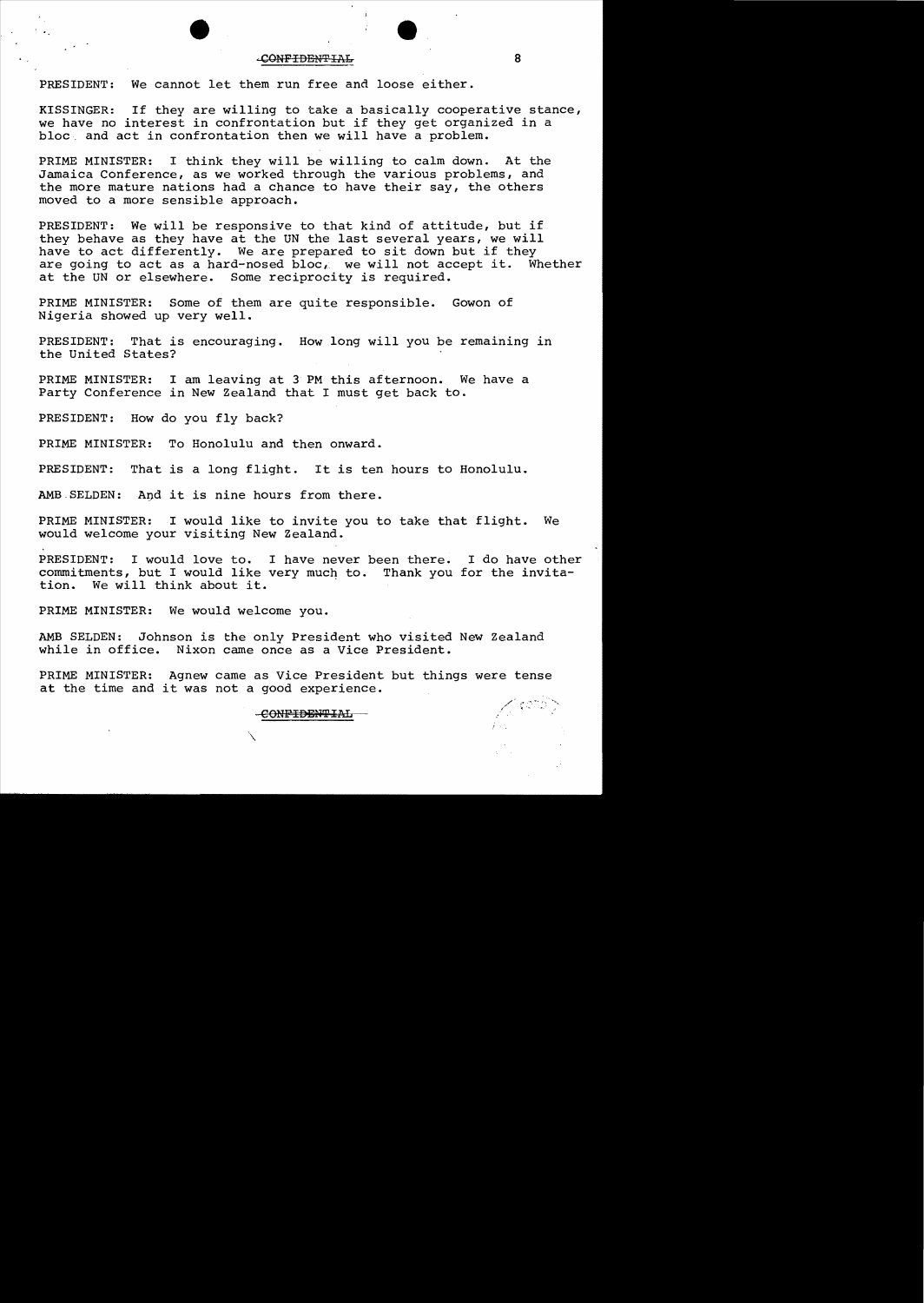#### ...cONF IDBN'P IAL 8

PRESIDENT: We cannot let them run free and loose either.

KISSINGER: If they are willing to take a basically cooperative stance, we have no interest in confrontation but if they get organized in a bloc\_ and act in confrontation then we will have a problem.

PRIME MINISTER: I think they will be willing to calm down. At the Jamaica Conference, as we worked through the various problems, and the more mature nations had a chance to have their say, the others moved to a more sensible approach.

PRESIDENT: We will be responsive to that kind of attitude, but if they behave as they have at the UN the last several years, we will have to act differently. We are prepared to sit down but if they are going to act as a hard-nosed  $\overline{block}$  we will not accept it. Whether at the UN or elsewhere. Some reciprocity is required.

PRIME MINISTER: Some of them are quite responsible. Gowon of Nigeria showed up very well.

PRESIDENT: That is encouraging. How long will you be remaining in the United States?

PRIME MINISTER: I am leaving at 3 PM this afternoon. We have a Party Conference in New Zealand that I must get back to.

PRESIDENT: How do you fly back?

PRIME MINISTER: To Honolulu and then onward.

PRESIDENT: That is a long flight. It is ten hours to Honolulu.

AMB SELDEN: And it is nine hours from there.

PRIME MINISTER: I would like to invite you to take that flight. We would welcome your visiting New Zealand.

PRESIDENT: I would love to. I have never been there. I do have other commitments, but I would like very much to. Thank you for the invita-<br>tion. We will think about it. We will think about it.

PRIME MINISTER: We would welcome you.

AMB SELDEN: Johnson is the only President who visited New Zealand while in office. Nixon came once as a Vice President. Nixon came once as a Vice President.

PRIME MINISTER: Agnew came as Vice President but things were tense at the time and it was not a good experience.

 $\mathcal{L}$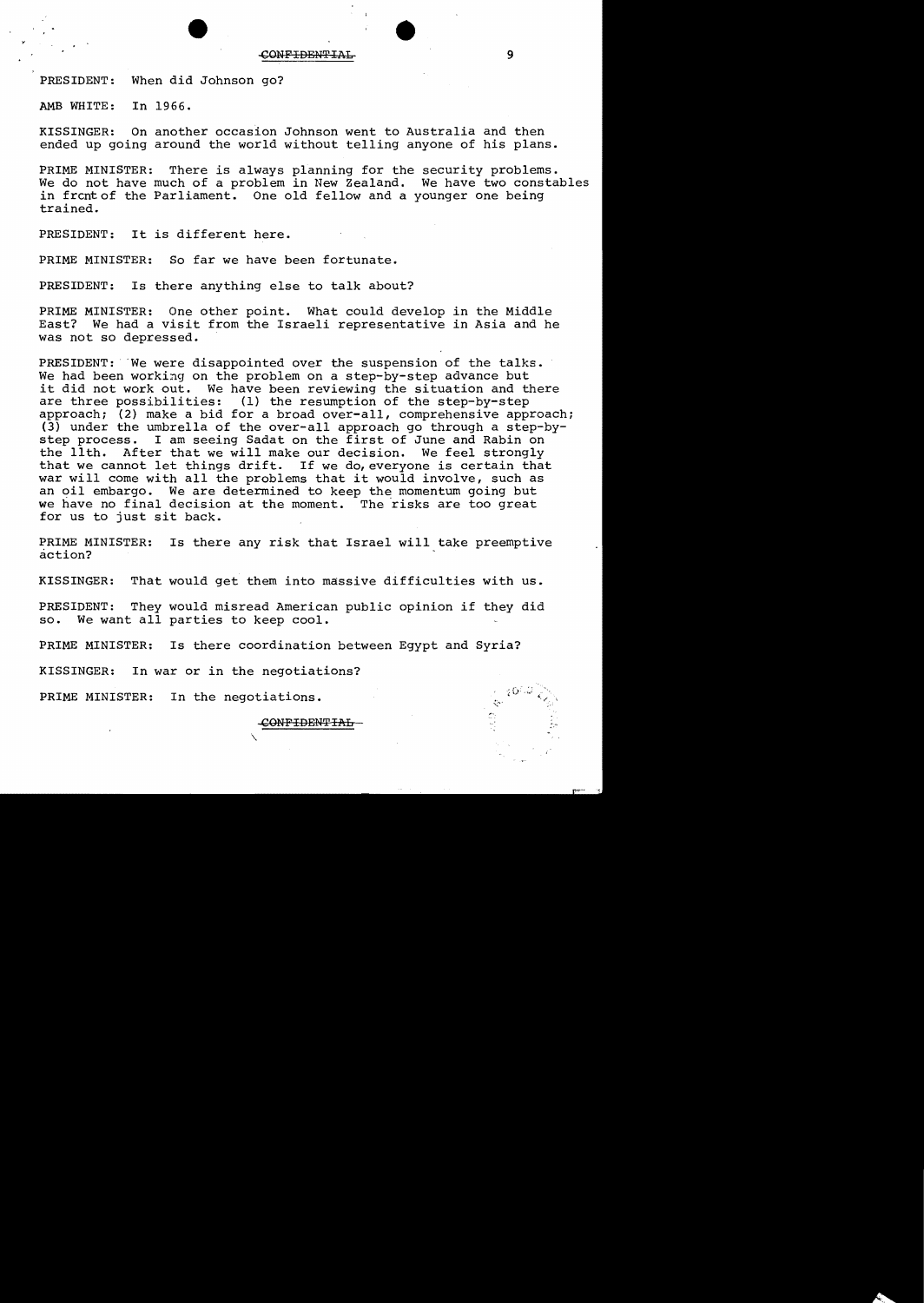PRESIDENT: When did Johnson go?

AMB WHITE: In 1966.

KISSINGER: On another occasion Johnson went to Australia and then ended up going around the world without telling anyone of his plans.

PRIME MINISTER: There is always planning for the security problems. We do not have much of a problem in New Zealand. We have two constables in frcntof the Parliament. One old fellow and a younger one being trained.

PRESIDENT: It is different here.

PRIME MINISTER: So far we have been fortunate.

PRESIDENT: Is there anything else to talk about?

PRIME MINISTER: One other point. What could develop in the Middle East? We had a visit from the Israeli representative in Asia and he was not so depressed.

PRESIDENT: We were disappointed over the suspension of the talks. We had been working on the problem on a step-by-step advance but it did not work out. We have been reviewing the situation and there are three possibilities: (1) the resumption of the step-by-step approach; (2) make a bid for a broad over-all, comprehensive approach; (3) under the umbrella of the over-all approach go through a step-bystep process. I am seeing Sadat on the first of June and Rabin on the 11th. After that we will make our decision. We feel strongly that we cannot let things drift. If we do, everyone is certain that war will come with all the problems that it would involve, such as an oil embargo. We are determined to keep the momentum going but we have no final decision at the moment. The risks are too great for us to just sit back.

PRIME MINISTER: Is there any risk that Israel will take preemptive action?

KISSINGER: That would get them into massive difficulties with us.

PRESIDENT: They would misread American public opinion if they did so. We want all parties to keep cool.

PRIME MINISTER: Is there coordination between Egypt and Syria?

 $\checkmark$ 

KISSINGER: In war or in the negotiations?

PRIME MINISTER: In the negotiations.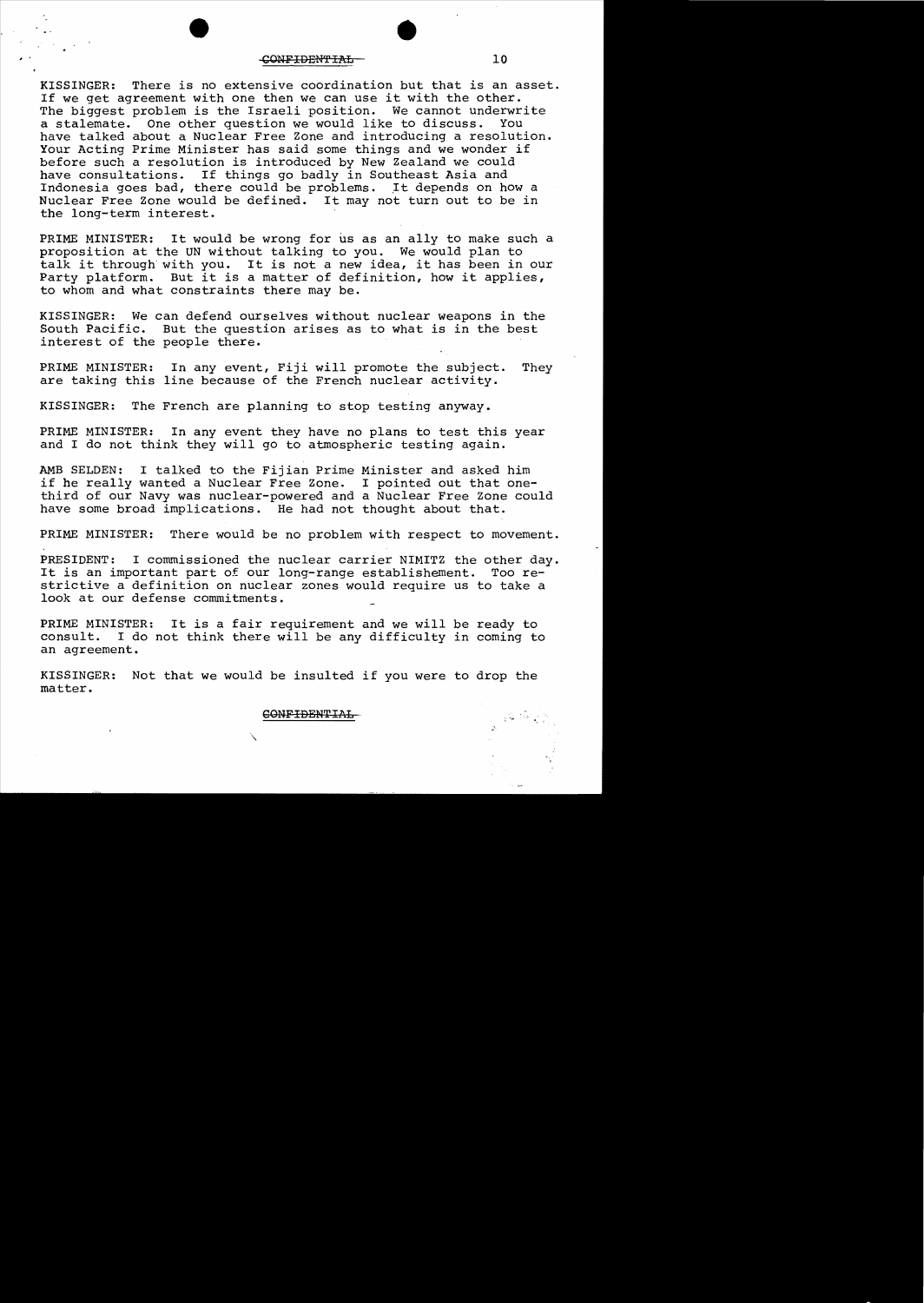#### CONFIDENTIAL 10

KISSINGER: There is no extensive coordination but that is an asset. If we get agreement with one then we can use it with the other. The biggest problem is the Israeli position. We cannot underwrite a stalemate. One other question we would like to discuss. have talked about a Nuclear Free Zone and introducing a resolution. Your Acting Prime Minister has said some things and we wonder if before such a resolution is introduced by New Zealand we could have consultations. If things go badly in Southeast Asia and Indonesia goes bad, there could be problems. It depends on how a Nuclear Free Zone would be defined. It may not turn out to be in the long-term interest.

PRIME MINISTER: It would be wrong for us as an ally to make such a proposition at the UN without talking to you. We would plan to talk it through with you. It is not a new idea, it has been in our Party platform. But it is a matter of definition, how it applies, to whom and what constraints there may be.

KISSINGER: We can defend ourselves without nuclear weapons in the South Pacific. But the question arises as to what is in the best But the question arises as to what is in the best interest of the people there.

PRIME MINISTER: In any event, Fiji will promote the subject. They are taking this line because of the French nuclear activity.

KISSINGER: The French are planning to stop testing anyway.

PRIME MINISTER: In any event they have no plans to test this year and I do not think they will go to atmospheric testing again.

AMB SELDEN: I talked to the Fijian Prime Minister and asked him if he really wanted a Nuclear Free Zone. I pointed out that onethird of our Navy was nuclear-powered and a Nuclear Free Zone could have some broad implications. He had not thought about that.

PRIME MINISTER: There would be no problem with respect to movement.

PRESIDENT: I commissioned the nuclear carrier NIMITZ the other day.<br>It is an important part of our long-range establishement. Too re-It is an important part of our long-range establishement. strictive a definition on nuclear zones would require us to take a look at our defense commitments.

PRIME MINISTER: It is a fair requirement and we will be ready to consult. I do not think there will be any difficulty in coming to I do not think there will be any difficulty in coming to an agreement.

KISSINGER: Not that we would be insulted if you were to drop the matter.

GONF IDENTIAL

"